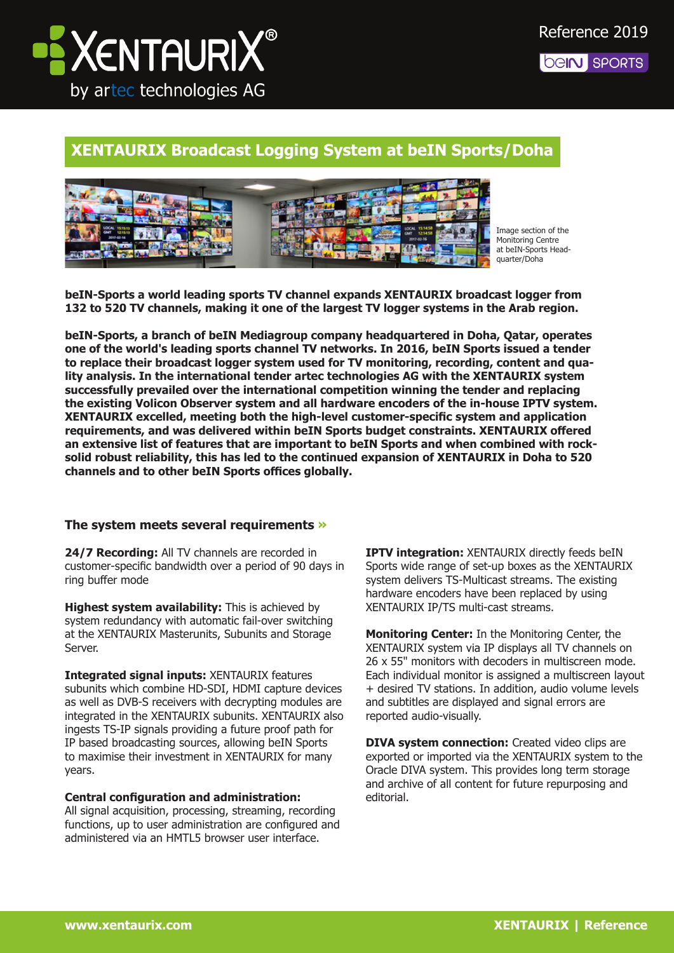

## **XENTAURIX Broadcast Logging System at beIN Sports/Doha**



Image section of the Monitoring Centre at beIN-Sports Headquarter/Doha

**beIN-Sports a world leading sports TV channel expands XENTAURIX broadcast logger from 132 to 520 TV channels, making it one of the largest TV logger systems in the Arab region.**

**beIN-Sports, a branch of beIN Mediagroup company headquartered in Doha, Qatar, operates one of the world's leading sports channel TV networks. In 2016, beIN Sports issued a tender to replace their broadcast logger system used for TV monitoring, recording, content and quality analysis. In the international tender artec technologies AG with the XENTAURIX system successfully prevailed over the international competition winning the tender and replacing the existing Volicon Observer system and all hardware encoders of the in-house IPTV system. XENTAURIX excelled, meeting both the high-level customer-specific system and application requirements, and was delivered within beIN Sports budget constraints. XENTAURIX offered an extensive list of features that are important to beIN Sports and when combined with rocksolid robust reliability, this has led to the continued expansion of XENTAURIX in Doha to 520 channels and to other beIN Sports offices globally.** 

## **The system meets several requirements »**

**24/7 Recording:** All TV channels are recorded in customer-specific bandwidth over a period of 90 days in ring buffer mode

**Highest system availability:** This is achieved by system redundancy with automatic fail-over switching at the XENTAURIX Masterunits, Subunits and Storage Server.

**Integrated signal inputs:** XENTAURIX features subunits which combine HD-SDI, HDMI capture devices as well as DVB-S receivers with decrypting modules are integrated in the XENTAURIX subunits. XENTAURIX also ingests TS-IP signals providing a future proof path for IP based broadcasting sources, allowing beIN Sports to maximise their investment in XENTAURIX for many years.

**Central configuration and administration:**  All signal acquisition, processing, streaming, recording functions, up to user administration are configured and administered via an HMTL5 browser user interface.

**IPTV integration: XENTAURIX** directly feeds beIN Sports wide range of set-up boxes as the XENTAURIX system delivers TS-Multicast streams. The existing hardware encoders have been replaced by using XENTAURIX IP/TS multi-cast streams.

**Monitoring Center:** In the Monitoring Center, the XENTAURIX system via IP displays all TV channels on 26 x 55" monitors with decoders in multiscreen mode. Each individual monitor is assigned a multiscreen layout + desired TV stations. In addition, audio volume levels and subtitles are displayed and signal errors are reported audio-visually.

**DIVA system connection:** Created video clips are exported or imported via the XENTAURIX system to the Oracle DIVA system. This provides long term storage and archive of all content for future repurposing and editorial.